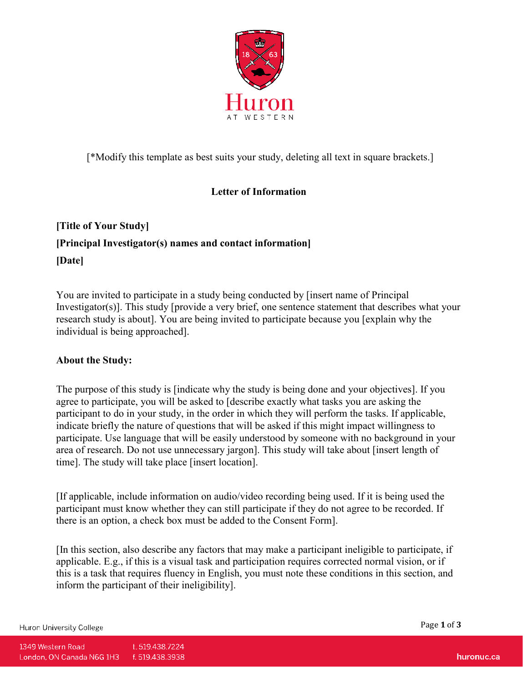

[\*Modify this template as best suits your study, deleting all text in square brackets.]

# **Letter of Information**

# **[Title of Your Study] [Principal Investigator(s) names and contact information] [Date]**

You are invited to participate in a study being conducted by [insert name of Principal Investigator(s)]. This study [provide a very brief, one sentence statement that describes what your research study is about]. You are being invited to participate because you [explain why the individual is being approached].

## **About the Study:**

The purpose of this study is [indicate why the study is being done and your objectives]. If you agree to participate, you will be asked to [describe exactly what tasks you are asking the participant to do in your study, in the order in which they will perform the tasks. If applicable, indicate briefly the nature of questions that will be asked if this might impact willingness to participate. Use language that will be easily understood by someone with no background in your area of research. Do not use unnecessary jargon]. This study will take about [insert length of time]. The study will take place [insert location].

[If applicable, include information on audio/video recording being used. If it is being used the participant must know whether they can still participate if they do not agree to be recorded. If there is an option, a check box must be added to the Consent Form].

[In this section, also describe any factors that may make a participant ineligible to participate, if applicable. E.g., if this is a visual task and participation requires corrected normal vision, or if this is a task that requires fluency in English, you must note these conditions in this section, and inform the participant of their ineligibility].

Huron University College

Page **1** of **3**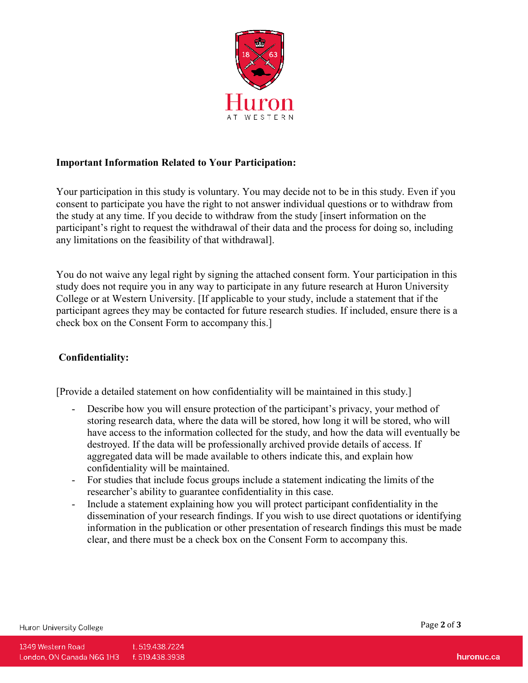

### **Important Information Related to Your Participation:**

Your participation in this study is voluntary. You may decide not to be in this study. Even if you consent to participate you have the right to not answer individual questions or to withdraw from the study at any time. If you decide to withdraw from the study [insert information on the participant's right to request the withdrawal of their data and the process for doing so, including any limitations on the feasibility of that withdrawal].

You do not waive any legal right by signing the attached consent form. Your participation in this study does not require you in any way to participate in any future research at Huron University College or at Western University. [If applicable to your study, include a statement that if the participant agrees they may be contacted for future research studies. If included, ensure there is a check box on the Consent Form to accompany this.]

#### **Confidentiality:**

[Provide a detailed statement on how confidentiality will be maintained in this study.]

- Describe how you will ensure protection of the participant's privacy, your method of storing research data, where the data will be stored, how long it will be stored, who will have access to the information collected for the study, and how the data will eventually be destroyed. If the data will be professionally archived provide details of access. If aggregated data will be made available to others indicate this, and explain how confidentiality will be maintained.
- For studies that include focus groups include a statement indicating the limits of the researcher's ability to guarantee confidentiality in this case.
- Include a statement explaining how you will protect participant confidentiality in the dissemination of your research findings. If you wish to use direct quotations or identifying information in the publication or other presentation of research findings this must be made clear, and there must be a check box on the Consent Form to accompany this.

Huron University College